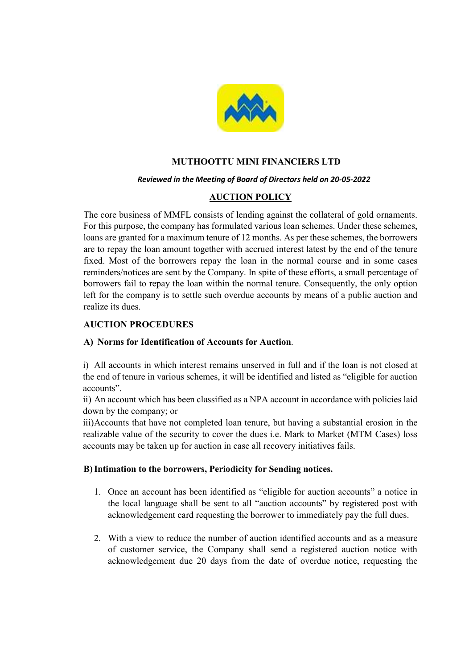

## MUTHOOTTU MINI FINANCIERS LTD

#### Reviewed in the Meeting of Board of Directors held on 20-05-2022

# AUCTION POLICY

The core business of MMFL consists of lending against the collateral of gold ornaments. For this purpose, the company has formulated various loan schemes. Under these schemes, loans are granted for a maximum tenure of 12 months. As per these schemes, the borrowers are to repay the loan amount together with accrued interest latest by the end of the tenure fixed. Most of the borrowers repay the loan in the normal course and in some cases reminders/notices are sent by the Company. In spite of these efforts, a small percentage of borrowers fail to repay the loan within the normal tenure. Consequently, the only option left for the company is to settle such overdue accounts by means of a public auction and realize its dues.

### AUCTION PROCEDURES

### A) Norms for Identification of Accounts for Auction.

i) All accounts in which interest remains unserved in full and if the loan is not closed at the end of tenure in various schemes, it will be identified and listed as "eligible for auction accounts".

ii) An account which has been classified as a NPA account in accordance with policies laid down by the company; or

iii)Accounts that have not completed loan tenure, but having a substantial erosion in the realizable value of the security to cover the dues i.e. Mark to Market (MTM Cases) loss accounts may be taken up for auction in case all recovery initiatives fails.

### B)Intimation to the borrowers, Periodicity for Sending notices.

- 1. Once an account has been identified as "eligible for auction accounts" a notice in the local language shall be sent to all "auction accounts" by registered post with acknowledgement card requesting the borrower to immediately pay the full dues.
- 2. With a view to reduce the number of auction identified accounts and as a measure of customer service, the Company shall send a registered auction notice with acknowledgement due 20 days from the date of overdue notice, requesting the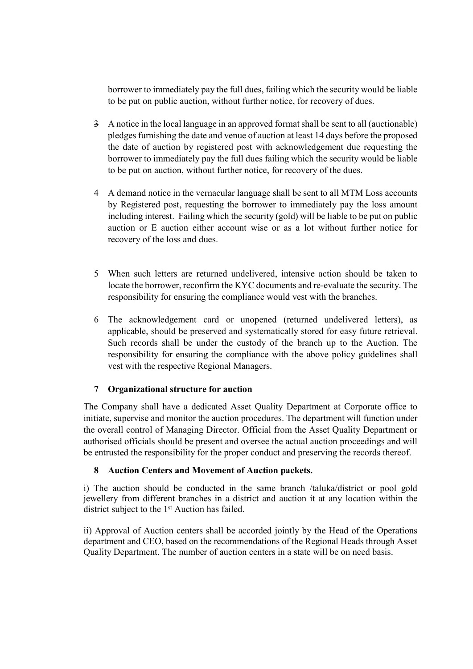borrower to immediately pay the full dues, failing which the security would be liable to be put on public auction, without further notice, for recovery of dues.

- 3 A notice in the local language in an approved format shall be sent to all (auctionable) pledges furnishing the date and venue of auction at least 14 days before the proposed the date of auction by registered post with acknowledgement due requesting the borrower to immediately pay the full dues failing which the security would be liable to be put on auction, without further notice, for recovery of the dues.
- 4 A demand notice in the vernacular language shall be sent to all MTM Loss accounts by Registered post, requesting the borrower to immediately pay the loss amount including interest. Failing which the security (gold) will be liable to be put on public auction or E auction either account wise or as a lot without further notice for recovery of the loss and dues.
- 5 When such letters are returned undelivered, intensive action should be taken to locate the borrower, reconfirm the KYC documents and re-evaluate the security. The responsibility for ensuring the compliance would vest with the branches.
- 6 The acknowledgement card or unopened (returned undelivered letters), as applicable, should be preserved and systematically stored for easy future retrieval. Such records shall be under the custody of the branch up to the Auction. The responsibility for ensuring the compliance with the above policy guidelines shall vest with the respective Regional Managers.

# 7 Organizational structure for auction

The Company shall have a dedicated Asset Quality Department at Corporate office to initiate, supervise and monitor the auction procedures. The department will function under the overall control of Managing Director. Official from the Asset Quality Department or authorised officials should be present and oversee the actual auction proceedings and will be entrusted the responsibility for the proper conduct and preserving the records thereof.

### 8 Auction Centers and Movement of Auction packets.

i) The auction should be conducted in the same branch /taluka/district or pool gold jewellery from different branches in a district and auction it at any location within the district subject to the 1<sup>st</sup> Auction has failed.

ii) Approval of Auction centers shall be accorded jointly by the Head of the Operations department and CEO, based on the recommendations of the Regional Heads through Asset Quality Department. The number of auction centers in a state will be on need basis.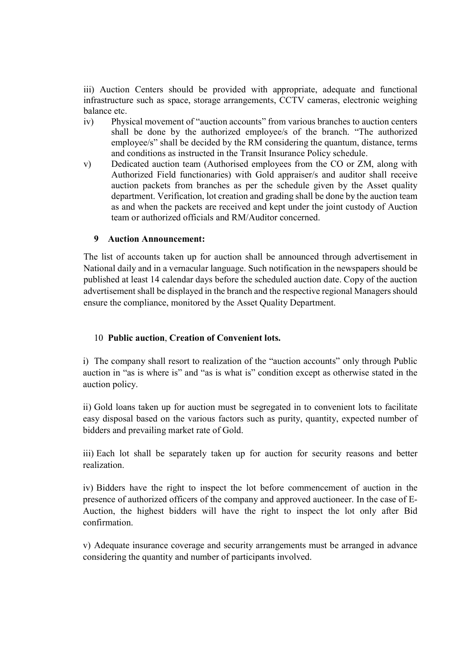iii) Auction Centers should be provided with appropriate, adequate and functional infrastructure such as space, storage arrangements, CCTV cameras, electronic weighing balance etc.

- iv) Physical movement of "auction accounts" from various branches to auction centers shall be done by the authorized employee/s of the branch. "The authorized employee/s" shall be decided by the RM considering the quantum, distance, terms and conditions as instructed in the Transit Insurance Policy schedule.
- v) Dedicated auction team (Authorised employees from the CO or ZM, along with Authorized Field functionaries) with Gold appraiser/s and auditor shall receive auction packets from branches as per the schedule given by the Asset quality department. Verification, lot creation and grading shall be done by the auction team as and when the packets are received and kept under the joint custody of Auction team or authorized officials and RM/Auditor concerned.

### 9 Auction Announcement:

The list of accounts taken up for auction shall be announced through advertisement in National daily and in a vernacular language. Such notification in the newspapers should be published at least 14 calendar days before the scheduled auction date. Copy of the auction advertisement shall be displayed in the branch and the respective regional Managers should ensure the compliance, monitored by the Asset Quality Department.

#### 10 Public auction, Creation of Convenient lots.

i) The company shall resort to realization of the "auction accounts" only through Public auction in "as is where is" and "as is what is" condition except as otherwise stated in the auction policy.

ii) Gold loans taken up for auction must be segregated in to convenient lots to facilitate easy disposal based on the various factors such as purity, quantity, expected number of bidders and prevailing market rate of Gold.

iii) Each lot shall be separately taken up for auction for security reasons and better realization.

iv) Bidders have the right to inspect the lot before commencement of auction in the presence of authorized officers of the company and approved auctioneer. In the case of E-Auction, the highest bidders will have the right to inspect the lot only after Bid confirmation.

v) Adequate insurance coverage and security arrangements must be arranged in advance considering the quantity and number of participants involved.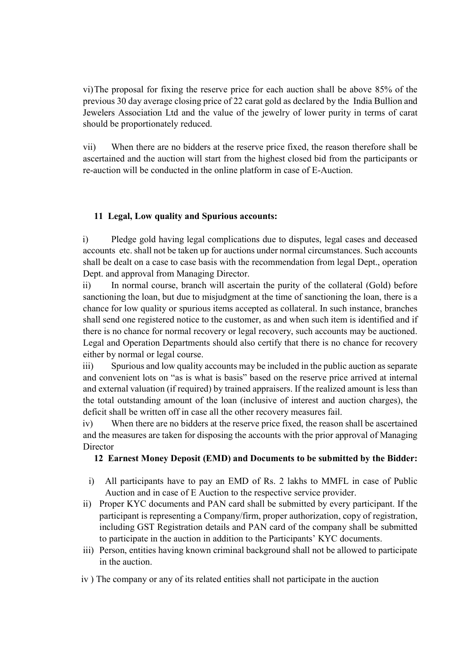vi)The proposal for fixing the reserve price for each auction shall be above 85% of the previous 30 day average closing price of 22 carat gold as declared by the India Bullion and Jewelers Association Ltd and the value of the jewelry of lower purity in terms of carat should be proportionately reduced.

vii) When there are no bidders at the reserve price fixed, the reason therefore shall be ascertained and the auction will start from the highest closed bid from the participants or re-auction will be conducted in the online platform in case of E-Auction.

# 11 Legal, Low quality and Spurious accounts:

i) Pledge gold having legal complications due to disputes, legal cases and deceased accounts etc. shall not be taken up for auctions under normal circumstances. Such accounts shall be dealt on a case to case basis with the recommendation from legal Dept., operation Dept. and approval from Managing Director.

ii) In normal course, branch will ascertain the purity of the collateral (Gold) before sanctioning the loan, but due to misjudgment at the time of sanctioning the loan, there is a chance for low quality or spurious items accepted as collateral. In such instance, branches shall send one registered notice to the customer, as and when such item is identified and if there is no chance for normal recovery or legal recovery, such accounts may be auctioned. Legal and Operation Departments should also certify that there is no chance for recovery either by normal or legal course.

iii) Spurious and low quality accounts may be included in the public auction as separate and convenient lots on "as is what is basis" based on the reserve price arrived at internal and external valuation (if required) by trained appraisers. If the realized amount is less than the total outstanding amount of the loan (inclusive of interest and auction charges), the deficit shall be written off in case all the other recovery measures fail.

iv) When there are no bidders at the reserve price fixed, the reason shall be ascertained and the measures are taken for disposing the accounts with the prior approval of Managing **Director** 

### 12 Earnest Money Deposit (EMD) and Documents to be submitted by the Bidder:

- i) All participants have to pay an EMD of Rs. 2 lakhs to MMFL in case of Public Auction and in case of E Auction to the respective service provider.
- ii) Proper KYC documents and PAN card shall be submitted by every participant. If the participant is representing a Company/firm, proper authorization, copy of registration, including GST Registration details and PAN card of the company shall be submitted to participate in the auction in addition to the Participants' KYC documents.
- iii) Person, entities having known criminal background shall not be allowed to participate in the auction.
- iv ) The company or any of its related entities shall not participate in the auction